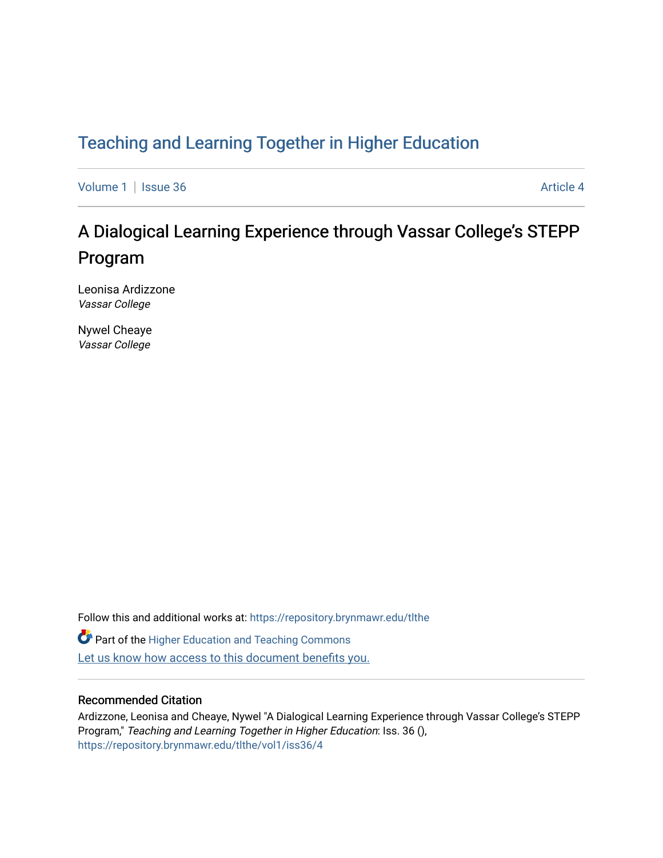# [Teaching and Learning Together in Higher Education](https://repository.brynmawr.edu/tlthe)

[Volume 1](https://repository.brynmawr.edu/tlthe/vol1) | [Issue 36](https://repository.brynmawr.edu/tlthe/vol1/iss36) Article 4

# A Dialogical Learning Experience through Vassar College's STEPP Program

Leonisa Ardizzone Vassar College

Nywel Cheaye Vassar College

Follow this and additional works at: [https://repository.brynmawr.edu/tlthe](https://repository.brynmawr.edu/tlthe?utm_source=repository.brynmawr.edu%2Ftlthe%2Fvol1%2Fiss36%2F4&utm_medium=PDF&utm_campaign=PDFCoverPages)  **Part of the Higher Education and Teaching Commons** Let us know how access to this document benefits you.

#### Recommended Citation

Ardizzone, Leonisa and Cheaye, Nywel "A Dialogical Learning Experience through Vassar College's STEPP Program," Teaching and Learning Together in Higher Education: Iss. 36 (), [https://repository.brynmawr.edu/tlthe/vol1/iss36/4](https://repository.brynmawr.edu/tlthe/vol1/iss36/4?utm_source=repository.brynmawr.edu%2Ftlthe%2Fvol1%2Fiss36%2F4&utm_medium=PDF&utm_campaign=PDFCoverPages)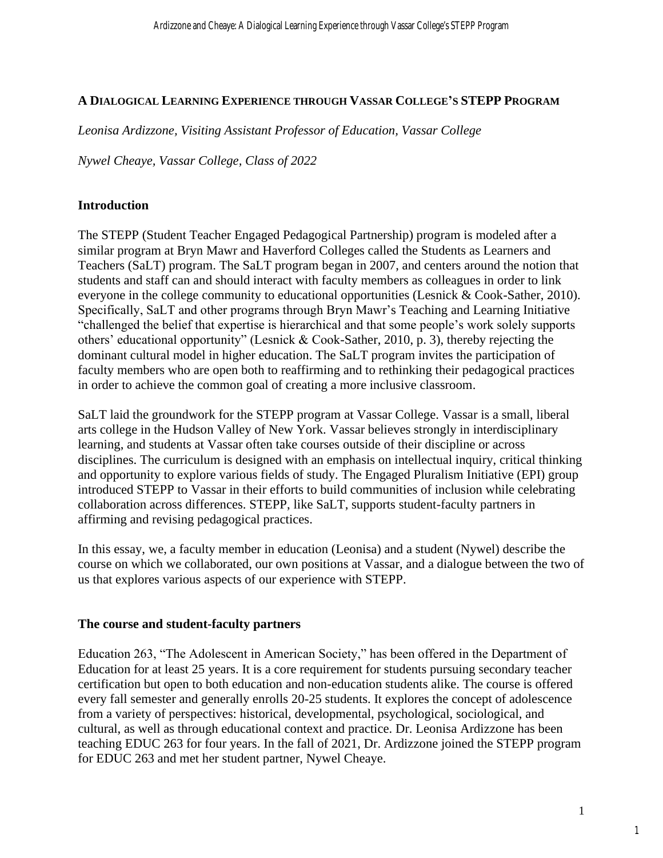# **A DIALOGICAL LEARNING EXPERIENCE THROUGH VASSAR COLLEGE'S STEPP PROGRAM**

*Leonisa Ardizzone, Visiting Assistant Professor of Education, Vassar College*

*Nywel Cheaye, Vassar College, Class of 2022*

# **Introduction**

The STEPP (Student Teacher Engaged Pedagogical Partnership) program is modeled after a similar program at Bryn Mawr and Haverford Colleges called the Students as Learners and Teachers (SaLT) program. The SaLT program began in 2007, and centers around the notion that students and staff can and should interact with faculty members as colleagues in order to link everyone in the college community to educational opportunities (Lesnick & Cook-Sather, 2010). Specifically, SaLT and other programs through Bryn Mawr's Teaching and Learning Initiative "challenged the belief that expertise is hierarchical and that some people's work solely supports others' educational opportunity" (Lesnick & Cook-Sather, 2010, p. 3), thereby rejecting the dominant cultural model in higher education. The SaLT program invites the participation of faculty members who are open both to reaffirming and to rethinking their pedagogical practices in order to achieve the common goal of creating a more inclusive classroom.

SaLT laid the groundwork for the STEPP program at Vassar College. Vassar is a small, liberal arts college in the Hudson Valley of New York. Vassar believes strongly in interdisciplinary learning, and students at Vassar often take courses outside of their discipline or across disciplines. The curriculum is designed with an emphasis on intellectual inquiry, critical thinking and opportunity to explore various fields of study. The Engaged Pluralism Initiative (EPI) group introduced STEPP to Vassar in their efforts to build communities of inclusion while celebrating collaboration across differences. STEPP, like SaLT, supports student-faculty partners in affirming and revising pedagogical practices.

In this essay, we, a faculty member in education (Leonisa) and a student (Nywel) describe the course on which we collaborated, our own positions at Vassar, and a dialogue between the two of us that explores various aspects of our experience with STEPP.

# **The course and student-faculty partners**

Education 263, "The Adolescent in American Society," has been offered in the Department of Education for at least 25 years. It is a core requirement for students pursuing secondary teacher certification but open to both education and non-education students alike. The course is offered every fall semester and generally enrolls 20-25 students. It explores the concept of adolescence from a variety of perspectives: historical, developmental, psychological, sociological, and cultural, as well as through educational context and practice. Dr. Leonisa Ardizzone has been teaching EDUC 263 for four years. In the fall of 2021, Dr. Ardizzone joined the STEPP program for EDUC 263 and met her student partner, Nywel Cheaye.

1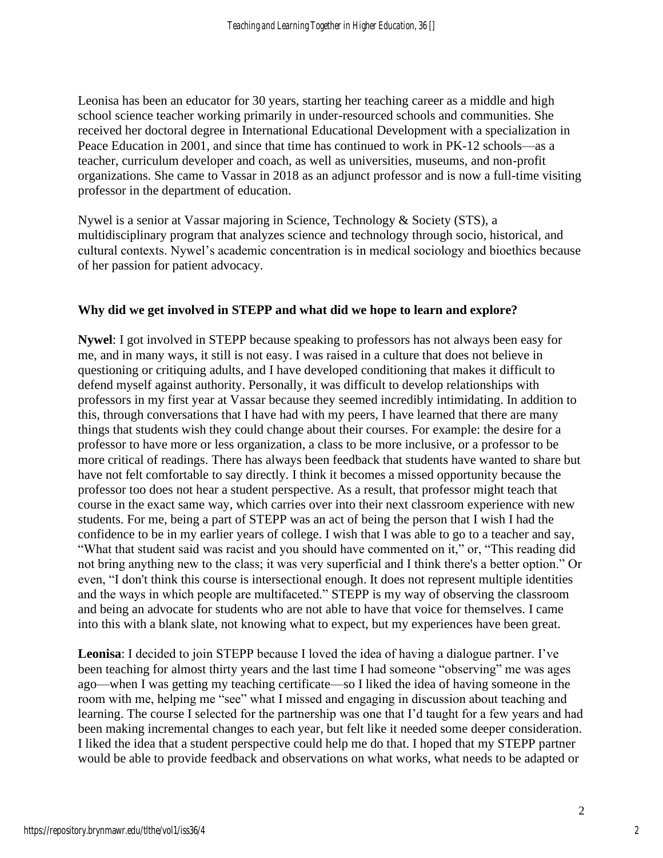Leonisa has been an educator for 30 years, starting her teaching career as a middle and high school science teacher working primarily in under-resourced schools and communities. She received her doctoral degree in International Educational Development with a specialization in Peace Education in 2001, and since that time has continued to work in PK-12 schools—as a teacher, curriculum developer and coach, as well as universities, museums, and non-profit organizations. She came to Vassar in 2018 as an adjunct professor and is now a full-time visiting professor in the department of education.

Nywel is a senior at Vassar majoring in Science, Technology & Society (STS), a multidisciplinary program that analyzes science and technology through socio, historical, and cultural contexts. Nywel's academic concentration is in medical sociology and bioethics because of her passion for patient advocacy.

#### **Why did we get involved in STEPP and what did we hope to learn and explore?**

**Nywel**: I got involved in STEPP because speaking to professors has not always been easy for me, and in many ways, it still is not easy. I was raised in a culture that does not believe in questioning or critiquing adults, and I have developed conditioning that makes it difficult to defend myself against authority. Personally, it was difficult to develop relationships with professors in my first year at Vassar because they seemed incredibly intimidating. In addition to this, through conversations that I have had with my peers, I have learned that there are many things that students wish they could change about their courses. For example: the desire for a professor to have more or less organization, a class to be more inclusive, or a professor to be more critical of readings. There has always been feedback that students have wanted to share but have not felt comfortable to say directly. I think it becomes a missed opportunity because the professor too does not hear a student perspective. As a result, that professor might teach that course in the exact same way, which carries over into their next classroom experience with new students. For me, being a part of STEPP was an act of being the person that I wish I had the confidence to be in my earlier years of college. I wish that I was able to go to a teacher and say, "What that student said was racist and you should have commented on it," or, "This reading did not bring anything new to the class; it was very superficial and I think there's a better option." Or even, "I don't think this course is intersectional enough. It does not represent multiple identities and the ways in which people are multifaceted." STEPP is my way of observing the classroom and being an advocate for students who are not able to have that voice for themselves. I came into this with a blank slate, not knowing what to expect, but my experiences have been great.

**Leonisa**: I decided to join STEPP because I loved the idea of having a dialogue partner. I've been teaching for almost thirty years and the last time I had someone "observing" me was ages ago—when I was getting my teaching certificate—so I liked the idea of having someone in the room with me, helping me "see" what I missed and engaging in discussion about teaching and learning. The course I selected for the partnership was one that I'd taught for a few years and had been making incremental changes to each year, but felt like it needed some deeper consideration. I liked the idea that a student perspective could help me do that. I hoped that my STEPP partner would be able to provide feedback and observations on what works, what needs to be adapted or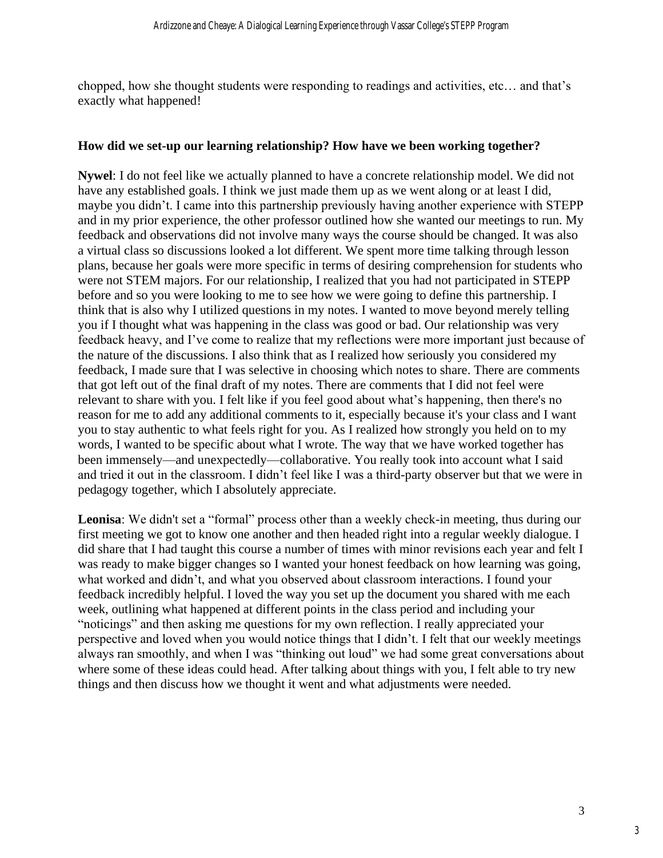chopped, how she thought students were responding to readings and activities, etc… and that's exactly what happened!

#### **How did we set-up our learning relationship? How have we been working together?**

**Nywel**: I do not feel like we actually planned to have a concrete relationship model. We did not have any established goals. I think we just made them up as we went along or at least I did, maybe you didn't. I came into this partnership previously having another experience with STEPP and in my prior experience, the other professor outlined how she wanted our meetings to run. My feedback and observations did not involve many ways the course should be changed. It was also a virtual class so discussions looked a lot different. We spent more time talking through lesson plans, because her goals were more specific in terms of desiring comprehension for students who were not STEM majors. For our relationship, I realized that you had not participated in STEPP before and so you were looking to me to see how we were going to define this partnership. I think that is also why I utilized questions in my notes. I wanted to move beyond merely telling you if I thought what was happening in the class was good or bad. Our relationship was very feedback heavy, and I've come to realize that my reflections were more important just because of the nature of the discussions. I also think that as I realized how seriously you considered my feedback, I made sure that I was selective in choosing which notes to share. There are comments that got left out of the final draft of my notes. There are comments that I did not feel were relevant to share with you. I felt like if you feel good about what's happening, then there's no reason for me to add any additional comments to it, especially because it's your class and I want you to stay authentic to what feels right for you. As I realized how strongly you held on to my words, I wanted to be specific about what I wrote. The way that we have worked together has been immensely—and unexpectedly—collaborative. You really took into account what I said and tried it out in the classroom. I didn't feel like I was a third-party observer but that we were in pedagogy together, which I absolutely appreciate.

Leonisa: We didn't set a "formal" process other than a weekly check-in meeting, thus during our first meeting we got to know one another and then headed right into a regular weekly dialogue. I did share that I had taught this course a number of times with minor revisions each year and felt I was ready to make bigger changes so I wanted your honest feedback on how learning was going, what worked and didn't, and what you observed about classroom interactions. I found your feedback incredibly helpful. I loved the way you set up the document you shared with me each week, outlining what happened at different points in the class period and including your "noticings" and then asking me questions for my own reflection. I really appreciated your perspective and loved when you would notice things that I didn't. I felt that our weekly meetings always ran smoothly, and when I was "thinking out loud" we had some great conversations about where some of these ideas could head. After talking about things with you, I felt able to try new things and then discuss how we thought it went and what adjustments were needed.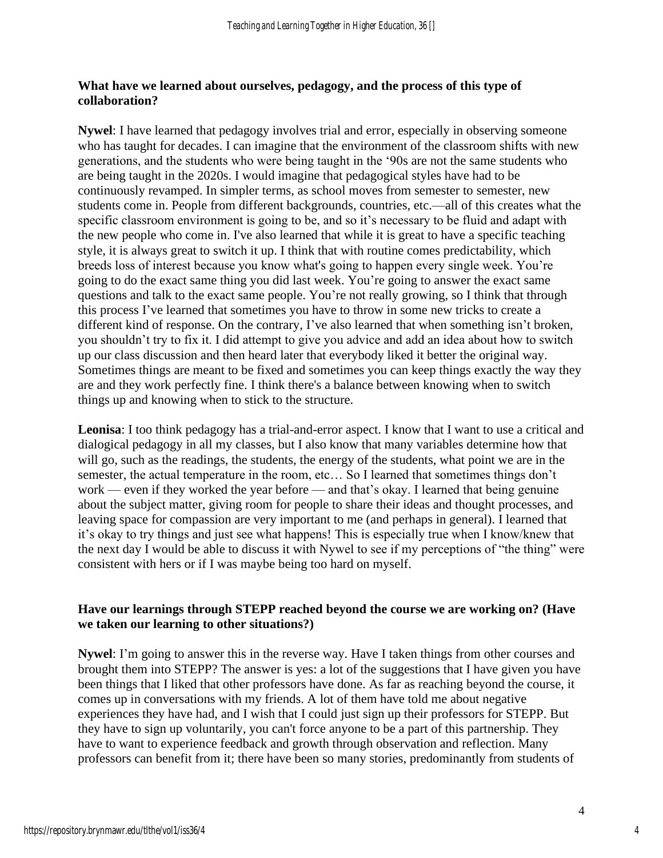# **What have we learned about ourselves, pedagogy, and the process of this type of collaboration?**

**Nywel**: I have learned that pedagogy involves trial and error, especially in observing someone who has taught for decades. I can imagine that the environment of the classroom shifts with new generations, and the students who were being taught in the '90s are not the same students who are being taught in the 2020s. I would imagine that pedagogical styles have had to be continuously revamped. In simpler terms, as school moves from semester to semester, new students come in. People from different backgrounds, countries, etc.—all of this creates what the specific classroom environment is going to be, and so it's necessary to be fluid and adapt with the new people who come in. I've also learned that while it is great to have a specific teaching style, it is always great to switch it up. I think that with routine comes predictability, which breeds loss of interest because you know what's going to happen every single week. You're going to do the exact same thing you did last week. You're going to answer the exact same questions and talk to the exact same people. You're not really growing, so I think that through this process I've learned that sometimes you have to throw in some new tricks to create a different kind of response. On the contrary, I've also learned that when something isn't broken, you shouldn't try to fix it. I did attempt to give you advice and add an idea about how to switch up our class discussion and then heard later that everybody liked it better the original way. Sometimes things are meant to be fixed and sometimes you can keep things exactly the way they are and they work perfectly fine. I think there's a balance between knowing when to switch things up and knowing when to stick to the structure.

**Leonisa**: I too think pedagogy has a trial-and-error aspect. I know that I want to use a critical and dialogical pedagogy in all my classes, but I also know that many variables determine how that will go, such as the readings, the students, the energy of the students, what point we are in the semester, the actual temperature in the room, etc… So I learned that sometimes things don't work — even if they worked the year before — and that's okay. I learned that being genuine about the subject matter, giving room for people to share their ideas and thought processes, and leaving space for compassion are very important to me (and perhaps in general). I learned that it's okay to try things and just see what happens! This is especially true when I know/knew that the next day I would be able to discuss it with Nywel to see if my perceptions of "the thing" were consistent with hers or if I was maybe being too hard on myself.

# **Have our learnings through STEPP reached beyond the course we are working on? (Have we taken our learning to other situations?)**

**Nywel**: I'm going to answer this in the reverse way. Have I taken things from other courses and brought them into STEPP? The answer is yes: a lot of the suggestions that I have given you have been things that I liked that other professors have done. As far as reaching beyond the course, it comes up in conversations with my friends. A lot of them have told me about negative experiences they have had, and I wish that I could just sign up their professors for STEPP. But they have to sign up voluntarily, you can't force anyone to be a part of this partnership. They have to want to experience feedback and growth through observation and reflection. Many professors can benefit from it; there have been so many stories, predominantly from students of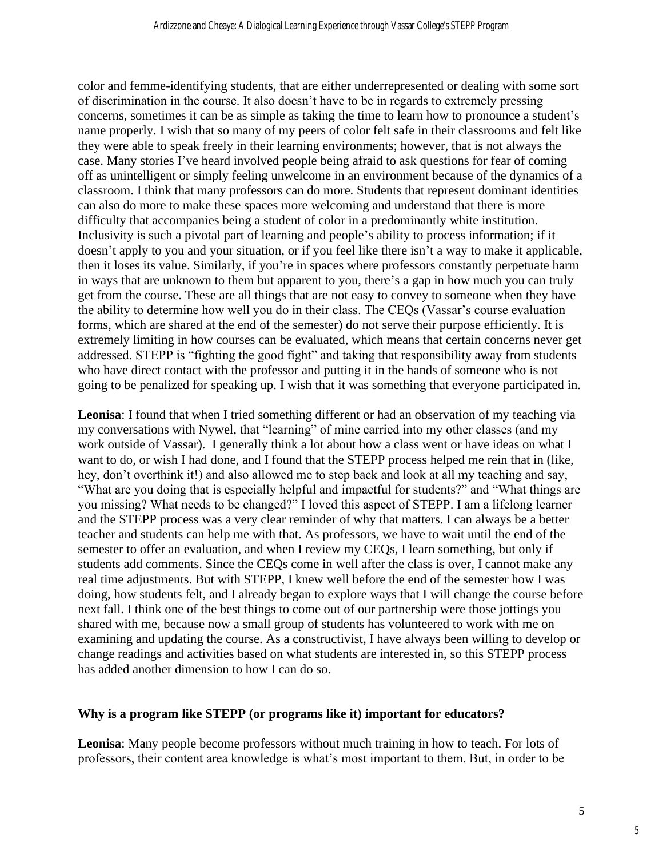color and femme-identifying students, that are either underrepresented or dealing with some sort of discrimination in the course. It also doesn't have to be in regards to extremely pressing concerns, sometimes it can be as simple as taking the time to learn how to pronounce a student's name properly. I wish that so many of my peers of color felt safe in their classrooms and felt like they were able to speak freely in their learning environments; however, that is not always the case. Many stories I've heard involved people being afraid to ask questions for fear of coming off as unintelligent or simply feeling unwelcome in an environment because of the dynamics of a classroom. I think that many professors can do more. Students that represent dominant identities can also do more to make these spaces more welcoming and understand that there is more difficulty that accompanies being a student of color in a predominantly white institution. Inclusivity is such a pivotal part of learning and people's ability to process information; if it doesn't apply to you and your situation, or if you feel like there isn't a way to make it applicable, then it loses its value. Similarly, if you're in spaces where professors constantly perpetuate harm in ways that are unknown to them but apparent to you, there's a gap in how much you can truly get from the course. These are all things that are not easy to convey to someone when they have the ability to determine how well you do in their class. The CEQs (Vassar's course evaluation forms, which are shared at the end of the semester) do not serve their purpose efficiently. It is extremely limiting in how courses can be evaluated, which means that certain concerns never get addressed. STEPP is "fighting the good fight" and taking that responsibility away from students who have direct contact with the professor and putting it in the hands of someone who is not going to be penalized for speaking up. I wish that it was something that everyone participated in.

**Leonisa**: I found that when I tried something different or had an observation of my teaching via my conversations with Nywel, that "learning" of mine carried into my other classes (and my work outside of Vassar). I generally think a lot about how a class went or have ideas on what I want to do, or wish I had done, and I found that the STEPP process helped me rein that in (like, hey, don't overthink it!) and also allowed me to step back and look at all my teaching and say, "What are you doing that is especially helpful and impactful for students?" and "What things are you missing? What needs to be changed?" I loved this aspect of STEPP. I am a lifelong learner and the STEPP process was a very clear reminder of why that matters. I can always be a better teacher and students can help me with that. As professors, we have to wait until the end of the semester to offer an evaluation, and when I review my CEQs, I learn something, but only if students add comments. Since the CEQs come in well after the class is over, I cannot make any real time adjustments. But with STEPP, I knew well before the end of the semester how I was doing, how students felt, and I already began to explore ways that I will change the course before next fall. I think one of the best things to come out of our partnership were those jottings you shared with me, because now a small group of students has volunteered to work with me on examining and updating the course. As a constructivist, I have always been willing to develop or change readings and activities based on what students are interested in, so this STEPP process has added another dimension to how I can do so.

#### **Why is a program like STEPP (or programs like it) important for educators?**

**Leonisa**: Many people become professors without much training in how to teach. For lots of professors, their content area knowledge is what's most important to them. But, in order to be